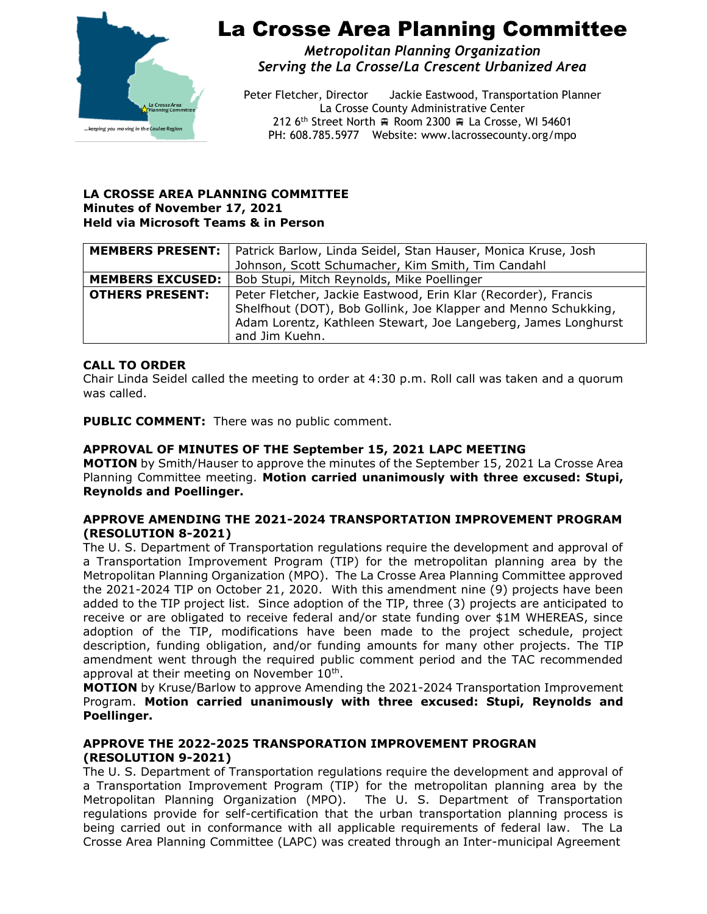

*Metropolitan Planning Organization Serving the La Crosse/La Crescent Urbanized Area*

Peter Fletcher, Director Jackie Eastwood, Transportation Planner La Crosse County Administrative Center 212 6<sup>th</sup> Street North  $\equiv$  Room 2300  $\equiv$  La Crosse, WI 54601 PH: 608.785.5977 Website: www.lacrossecounty.org/mpo

#### **LA CROSSE AREA PLANNING COMMITTEE Minutes of November 17, 2021 Held via Microsoft Teams & in Person**

|                         | <b>MEMBERS PRESENT:</b>   Patrick Barlow, Linda Seidel, Stan Hauser, Monica Kruse, Josh                                                                                                                              |
|-------------------------|----------------------------------------------------------------------------------------------------------------------------------------------------------------------------------------------------------------------|
|                         | Johnson, Scott Schumacher, Kim Smith, Tim Candahl                                                                                                                                                                    |
| <b>MEMBERS EXCUSED:</b> | Bob Stupi, Mitch Reynolds, Mike Poellinger                                                                                                                                                                           |
| <b>OTHERS PRESENT:</b>  | Peter Fletcher, Jackie Eastwood, Erin Klar (Recorder), Francis<br>Shelfhout (DOT), Bob Gollink, Joe Klapper and Menno Schukking,<br>Adam Lorentz, Kathleen Stewart, Joe Langeberg, James Longhurst<br>and Jim Kuehn. |

## **CALL TO ORDER**

Chair Linda Seidel called the meeting to order at 4:30 p.m. Roll call was taken and a quorum was called.

**PUBLIC COMMENT:** There was no public comment.

## **APPROVAL OF MINUTES OF THE September 15, 2021 LAPC MEETING**

**MOTION** by Smith/Hauser to approve the minutes of the September 15, 2021 La Crosse Area Planning Committee meeting. **Motion carried unanimously with three excused: Stupi, Reynolds and Poellinger.**

#### **APPROVE AMENDING THE 2021-2024 TRANSPORTATION IMPROVEMENT PROGRAM (RESOLUTION 8-2021)**

The U. S. Department of Transportation regulations require the development and approval of a Transportation Improvement Program (TIP) for the metropolitan planning area by the Metropolitan Planning Organization (MPO). The La Crosse Area Planning Committee approved the 2021-2024 TIP on October 21, 2020. With this amendment nine (9) projects have been added to the TIP project list. Since adoption of the TIP, three (3) projects are anticipated to receive or are obligated to receive federal and/or state funding over \$1M WHEREAS, since adoption of the TIP, modifications have been made to the project schedule, project description, funding obligation, and/or funding amounts for many other projects. The TIP amendment went through the required public comment period and the TAC recommended approval at their meeting on November  $10<sup>th</sup>$ .

**MOTION** by Kruse/Barlow to approve Amending the 2021-2024 Transportation Improvement Program. **Motion carried unanimously with three excused: Stupi, Reynolds and Poellinger.**

#### **APPROVE THE 2022-2025 TRANSPORATION IMPROVEMENT PROGRAN (RESOLUTION 9-2021)**

The U. S. Department of Transportation regulations require the development and approval of a Transportation Improvement Program (TIP) for the metropolitan planning area by the Metropolitan Planning Organization (MPO). The U. S. Department of Transportation regulations provide for self-certification that the urban transportation planning process is being carried out in conformance with all applicable requirements of federal law. The La Crosse Area Planning Committee (LAPC) was created through an Inter-municipal Agreement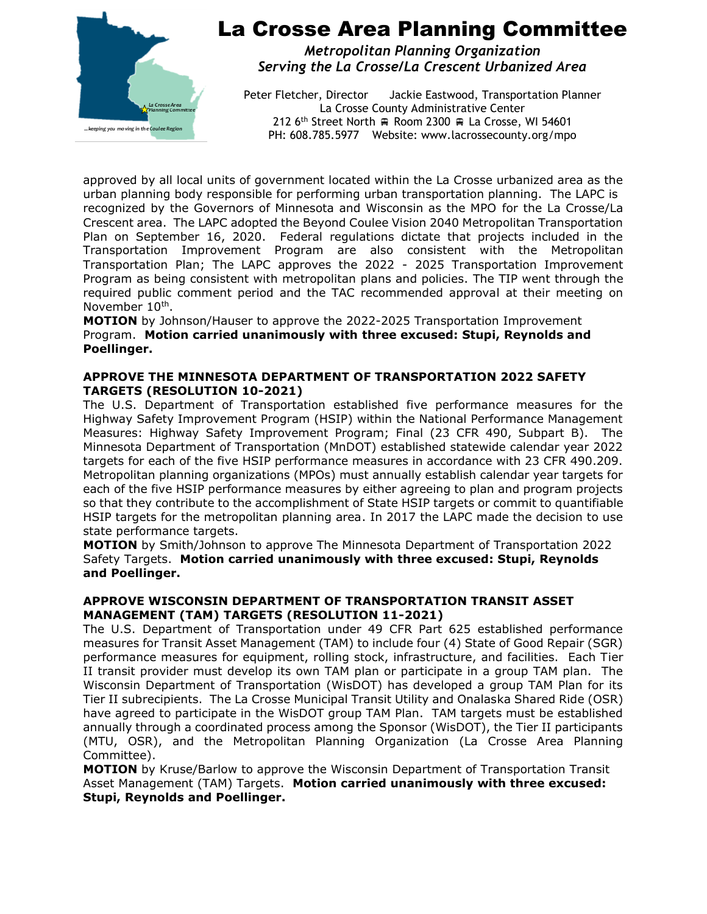

*Metropolitan Planning Organization Serving the La Crosse/La Crescent Urbanized Area*

Peter Fletcher, Director Jackie Eastwood, Transportation Planner La Crosse County Administrative Center 212 6<sup>th</sup> Street North  $\oplus$  Room 2300  $\oplus$  La Crosse, WI 54601 PH: 608.785.5977 Website: www.lacrossecounty.org/mpo

approved by all local units of government located within the La Crosse urbanized area as the urban planning body responsible for performing urban transportation planning. The LAPC is recognized by the Governors of Minnesota and Wisconsin as the MPO for the La Crosse/La Crescent area. The LAPC adopted the Beyond Coulee Vision 2040 Metropolitan Transportation Plan on September 16, 2020. Federal regulations dictate that projects included in the Transportation Improvement Program are also consistent with the Metropolitan Transportation Plan; The LAPC approves the 2022 - 2025 Transportation Improvement Program as being consistent with metropolitan plans and policies. The TIP went through the required public comment period and the TAC recommended approval at their meeting on November 10<sup>th</sup>.

**MOTION** by Johnson/Hauser to approve the 2022-2025 Transportation Improvement Program. **Motion carried unanimously with three excused: Stupi, Reynolds and Poellinger.**

#### **APPROVE THE MINNESOTA DEPARTMENT OF TRANSPORTATION 2022 SAFETY TARGETS (RESOLUTION 10-2021)**

The U.S. Department of Transportation established five performance measures for the Highway Safety Improvement Program (HSIP) within the National Performance Management Measures: Highway Safety Improvement Program; Final (23 CFR 490, Subpart B). The Minnesota Department of Transportation (MnDOT) established statewide calendar year 2022 targets for each of the five HSIP performance measures in accordance with 23 CFR 490.209. Metropolitan planning organizations (MPOs) must annually establish calendar year targets for each of the five HSIP performance measures by either agreeing to plan and program projects so that they contribute to the accomplishment of State HSIP targets or commit to quantifiable HSIP targets for the metropolitan planning area. In 2017 the LAPC made the decision to use state performance targets.

**MOTION** by Smith/Johnson to approve The Minnesota Department of Transportation 2022 Safety Targets. **Motion carried unanimously with three excused: Stupi, Reynolds and Poellinger.**

## **APPROVE WISCONSIN DEPARTMENT OF TRANSPORTATION TRANSIT ASSET MANAGEMENT (TAM) TARGETS (RESOLUTION 11-2021)**

The U.S. Department of Transportation under 49 CFR Part 625 established performance measures for Transit Asset Management (TAM) to include four (4) State of Good Repair (SGR) performance measures for equipment, rolling stock, infrastructure, and facilities. Each Tier II transit provider must develop its own TAM plan or participate in a group TAM plan. The Wisconsin Department of Transportation (WisDOT) has developed a group TAM Plan for its Tier II subrecipients. The La Crosse Municipal Transit Utility and Onalaska Shared Ride (OSR) have agreed to participate in the WisDOT group TAM Plan. TAM targets must be established annually through a coordinated process among the Sponsor (WisDOT), the Tier II participants (MTU, OSR), and the Metropolitan Planning Organization (La Crosse Area Planning Committee).

**MOTION** by Kruse/Barlow to approve the Wisconsin Department of Transportation Transit Asset Management (TAM) Targets. **Motion carried unanimously with three excused: Stupi, Reynolds and Poellinger.**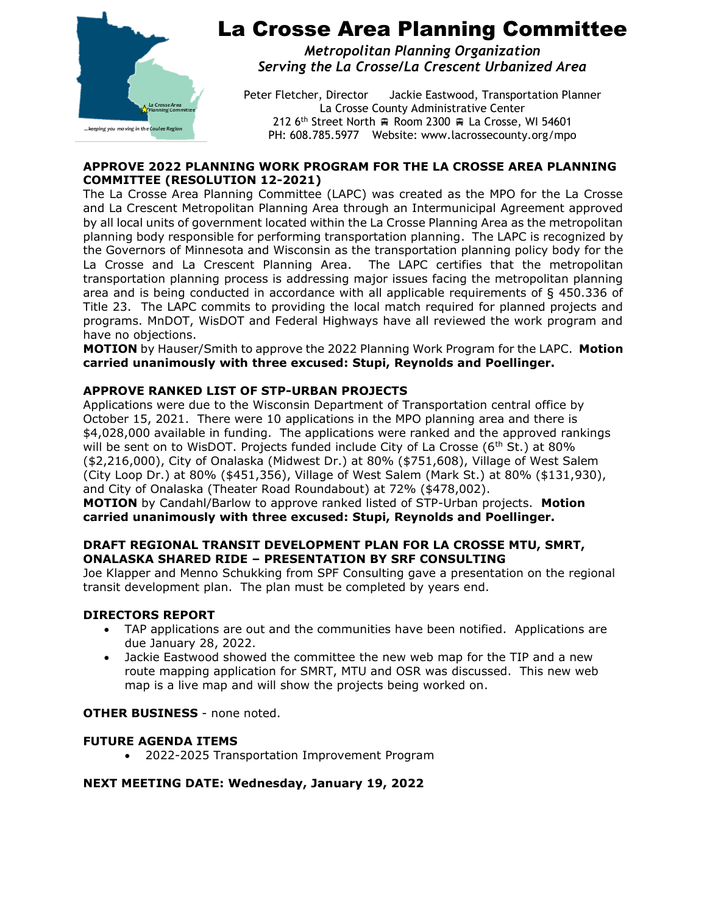

*Metropolitan Planning Organization Serving the La Crosse/La Crescent Urbanized Area*

Peter Fletcher, Director Jackie Eastwood, Transportation Planner La Crosse County Administrative Center 212 6<sup>th</sup> Street North  $\oplus$  Room 2300  $\oplus$  La Crosse, WI 54601 PH: 608.785.5977 Website: www.lacrossecounty.org/mpo

#### **APPROVE 2022 PLANNING WORK PROGRAM FOR THE LA CROSSE AREA PLANNING COMMITTEE (RESOLUTION 12-2021)**

The La Crosse Area Planning Committee (LAPC) was created as the MPO for the La Crosse and La Crescent Metropolitan Planning Area through an Intermunicipal Agreement approved by all local units of government located within the La Crosse Planning Area as the metropolitan planning body responsible for performing transportation planning. The LAPC is recognized by the Governors of Minnesota and Wisconsin as the transportation planning policy body for the La Crosse and La Crescent Planning Area. The LAPC certifies that the metropolitan transportation planning process is addressing major issues facing the metropolitan planning area and is being conducted in accordance with all applicable requirements of § 450.336 of Title 23. The LAPC commits to providing the local match required for planned projects and programs. MnDOT, WisDOT and Federal Highways have all reviewed the work program and have no objections.

**MOTION** by Hauser/Smith to approve the 2022 Planning Work Program for the LAPC. **Motion carried unanimously with three excused: Stupi, Reynolds and Poellinger.**

## **APPROVE RANKED LIST OF STP-URBAN PROJECTS**

Applications were due to the Wisconsin Department of Transportation central office by October 15, 2021. There were 10 applications in the MPO planning area and there is \$4,028,000 available in funding. The applications were ranked and the approved rankings will be sent on to WisDOT. Projects funded include City of La Crosse ( $6<sup>th</sup>$  St.) at 80% (\$2,216,000), City of Onalaska (Midwest Dr.) at 80% (\$751,608), Village of West Salem (City Loop Dr.) at 80% (\$451,356), Village of West Salem (Mark St.) at 80% (\$131,930), and City of Onalaska (Theater Road Roundabout) at 72% (\$478,002).

**MOTION** by Candahl/Barlow to approve ranked listed of STP-Urban projects. **Motion carried unanimously with three excused: Stupi, Reynolds and Poellinger.**

#### **DRAFT REGIONAL TRANSIT DEVELOPMENT PLAN FOR LA CROSSE MTU, SMRT, ONALASKA SHARED RIDE – PRESENTATION BY SRF CONSULTING**

Joe Klapper and Menno Schukking from SPF Consulting gave a presentation on the regional transit development plan. The plan must be completed by years end.

#### **DIRECTORS REPORT**

- TAP applications are out and the communities have been notified. Applications are due January 28, 2022.
- Jackie Eastwood showed the committee the new web map for the TIP and a new route mapping application for SMRT, MTU and OSR was discussed. This new web map is a live map and will show the projects being worked on.

## **OTHER BUSINESS** - none noted.

#### **FUTURE AGENDA ITEMS**

• 2022-2025 Transportation Improvement Program

## **NEXT MEETING DATE: Wednesday, January 19, 2022**